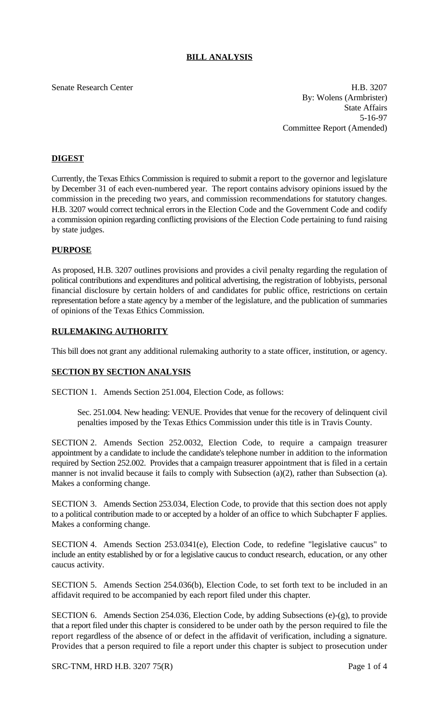# **BILL ANALYSIS**

Senate Research Center **H.B. 3207** By: Wolens (Armbrister) State Affairs 5-16-97 Committee Report (Amended)

## **DIGEST**

Currently, the Texas Ethics Commission is required to submit a report to the governor and legislature by December 31 of each even-numbered year. The report contains advisory opinions issued by the commission in the preceding two years, and commission recommendations for statutory changes. H.B. 3207 would correct technical errors in the Election Code and the Government Code and codify a commission opinion regarding conflicting provisions of the Election Code pertaining to fund raising by state judges.

## **PURPOSE**

As proposed, H.B. 3207 outlines provisions and provides a civil penalty regarding the regulation of political contributions and expenditures and political advertising, the registration of lobbyists, personal financial disclosure by certain holders of and candidates for public office, restrictions on certain representation before a state agency by a member of the legislature, and the publication of summaries of opinions of the Texas Ethics Commission.

## **RULEMAKING AUTHORITY**

This bill does not grant any additional rulemaking authority to a state officer, institution, or agency.

#### **SECTION BY SECTION ANALYSIS**

SECTION 1. Amends Section 251.004, Election Code, as follows:

Sec. 251.004. New heading: VENUE. Provides that venue for the recovery of delinquent civil penalties imposed by the Texas Ethics Commission under this title is in Travis County.

SECTION 2. Amends Section 252.0032, Election Code, to require a campaign treasurer appointment by a candidate to include the candidate's telephone number in addition to the information required by Section 252.002. Provides that a campaign treasurer appointment that is filed in a certain manner is not invalid because it fails to comply with Subsection (a)(2), rather than Subsection (a). Makes a conforming change.

SECTION 3. Amends Section 253.034, Election Code, to provide that this section does not apply to a political contribution made to or accepted by a holder of an office to which Subchapter F applies. Makes a conforming change.

SECTION 4. Amends Section 253.0341(e), Election Code, to redefine "legislative caucus" to include an entity established by or for a legislative caucus to conduct research, education, or any other caucus activity.

SECTION 5. Amends Section 254.036(b), Election Code, to set forth text to be included in an affidavit required to be accompanied by each report filed under this chapter.

SECTION 6. Amends Section 254.036, Election Code, by adding Subsections (e)-(g), to provide that a report filed under this chapter is considered to be under oath by the person required to file the report regardless of the absence of or defect in the affidavit of verification, including a signature. Provides that a person required to file a report under this chapter is subject to prosecution under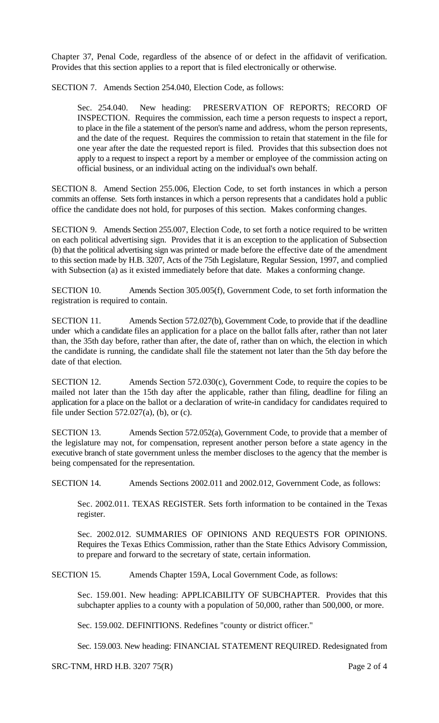Chapter 37, Penal Code, regardless of the absence of or defect in the affidavit of verification. Provides that this section applies to a report that is filed electronically or otherwise.

SECTION 7. Amends Section 254.040, Election Code, as follows:

Sec. 254.040. New heading: PRESERVATION OF REPORTS; RECORD OF INSPECTION. Requires the commission, each time a person requests to inspect a report, to place in the file a statement of the person's name and address, whom the person represents, and the date of the request. Requires the commission to retain that statement in the file for one year after the date the requested report is filed. Provides that this subsection does not apply to a request to inspect a report by a member or employee of the commission acting on official business, or an individual acting on the individual's own behalf.

SECTION 8. Amend Section 255.006, Election Code, to set forth instances in which a person commits an offense. Sets forth instances in which a person represents that a candidates hold a public office the candidate does not hold, for purposes of this section. Makes conforming changes.

SECTION 9. Amends Section 255.007, Election Code, to set forth a notice required to be written on each political advertising sign. Provides that it is an exception to the application of Subsection (b) that the political advertising sign was printed or made before the effective date of the amendment to this section made by H.B. 3207, Acts of the 75th Legislature, Regular Session, 1997, and complied with Subsection (a) as it existed immediately before that date. Makes a conforming change.

SECTION 10. Amends Section 305.005(f), Government Code, to set forth information the registration is required to contain.

SECTION 11. Amends Section 572.027(b), Government Code, to provide that if the deadline under which a candidate files an application for a place on the ballot falls after, rather than not later than, the 35th day before, rather than after, the date of, rather than on which, the election in which the candidate is running, the candidate shall file the statement not later than the 5th day before the date of that election.

SECTION 12. Amends Section 572.030(c), Government Code, to require the copies to be mailed not later than the 15th day after the applicable, rather than filing, deadline for filing an application for a place on the ballot or a declaration of write-in candidacy for candidates required to file under Section  $572.027(a)$ , (b), or (c).

SECTION 13. Amends Section 572.052(a), Government Code, to provide that a member of the legislature may not, for compensation, represent another person before a state agency in the executive branch of state government unless the member discloses to the agency that the member is being compensated for the representation.

SECTION 14. Amends Sections 2002.011 and 2002.012, Government Code, as follows:

Sec. 2002.011. TEXAS REGISTER. Sets forth information to be contained in the Texas register.

Sec. 2002.012. SUMMARIES OF OPINIONS AND REQUESTS FOR OPINIONS. Requires the Texas Ethics Commission, rather than the State Ethics Advisory Commission, to prepare and forward to the secretary of state, certain information.

SECTION 15. Amends Chapter 159A, Local Government Code, as follows:

Sec. 159.001. New heading: APPLICABILITY OF SUBCHAPTER. Provides that this subchapter applies to a county with a population of 50,000, rather than 500,000, or more.

Sec. 159.002. DEFINITIONS. Redefines "county or district officer."

Sec. 159.003. New heading: FINANCIAL STATEMENT REQUIRED. Redesignated from

SRC-TNM, HRD H.B. 3207 75(R) Page 2 of 4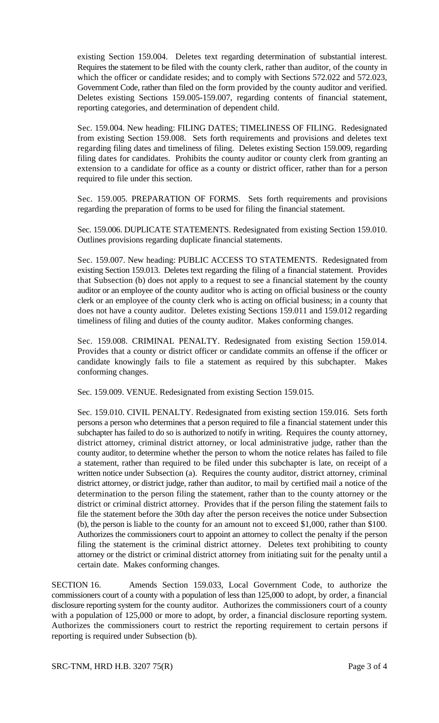existing Section 159.004. Deletes text regarding determination of substantial interest. Requires the statement to be filed with the county clerk, rather than auditor, of the county in which the officer or candidate resides; and to comply with Sections 572.022 and 572.023, Government Code, rather than filed on the form provided by the county auditor and verified. Deletes existing Sections 159.005-159.007, regarding contents of financial statement, reporting categories, and determination of dependent child.

Sec. 159.004. New heading: FILING DATES; TIMELINESS OF FILING. Redesignated from existing Section 159.008. Sets forth requirements and provisions and deletes text regarding filing dates and timeliness of filing. Deletes existing Section 159.009, regarding filing dates for candidates. Prohibits the county auditor or county clerk from granting an extension to a candidate for office as a county or district officer, rather than for a person required to file under this section.

Sec. 159.005. PREPARATION OF FORMS. Sets forth requirements and provisions regarding the preparation of forms to be used for filing the financial statement.

Sec. 159.006. DUPLICATE STATEMENTS. Redesignated from existing Section 159.010. Outlines provisions regarding duplicate financial statements.

Sec. 159.007. New heading: PUBLIC ACCESS TO STATEMENTS. Redesignated from existing Section 159.013. Deletes text regarding the filing of a financial statement. Provides that Subsection (b) does not apply to a request to see a financial statement by the county auditor or an employee of the county auditor who is acting on official business or the county clerk or an employee of the county clerk who is acting on official business; in a county that does not have a county auditor. Deletes existing Sections 159.011 and 159.012 regarding timeliness of filing and duties of the county auditor. Makes conforming changes.

Sec. 159.008. CRIMINAL PENALTY. Redesignated from existing Section 159.014. Provides that a county or district officer or candidate commits an offense if the officer or candidate knowingly fails to file a statement as required by this subchapter. Makes conforming changes.

Sec. 159.009. VENUE. Redesignated from existing Section 159.015.

Sec. 159.010. CIVIL PENALTY. Redesignated from existing section 159.016. Sets forth persons a person who determines that a person required to file a financial statement under this subchapter has failed to do so is authorized to notify in writing. Requires the county attorney, district attorney, criminal district attorney, or local administrative judge, rather than the county auditor, to determine whether the person to whom the notice relates has failed to file a statement, rather than required to be filed under this subchapter is late, on receipt of a written notice under Subsection (a). Requires the county auditor, district attorney, criminal district attorney, or district judge, rather than auditor, to mail by certified mail a notice of the determination to the person filing the statement, rather than to the county attorney or the district or criminal district attorney. Provides that if the person filing the statement fails to file the statement before the 30th day after the person receives the notice under Subsection (b), the person is liable to the county for an amount not to exceed \$1,000, rather than \$100. Authorizes the commissioners court to appoint an attorney to collect the penalty if the person filing the statement is the criminal district attorney. Deletes text prohibiting to county attorney or the district or criminal district attorney from initiating suit for the penalty until a certain date. Makes conforming changes.

SECTION 16. Amends Section 159.033, Local Government Code, to authorize the commissioners court of a county with a population of less than 125,000 to adopt, by order, a financial disclosure reporting system for the county auditor. Authorizes the commissioners court of a county with a population of 125,000 or more to adopt, by order, a financial disclosure reporting system. Authorizes the commissioners court to restrict the reporting requirement to certain persons if reporting is required under Subsection (b).